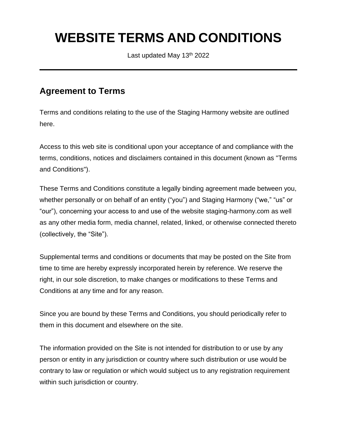# **WEBSITE TERMS AND CONDITIONS**

Last updated May 13<sup>th</sup> 2022

#### **Agreement to Terms**

Terms and conditions relating to the use of the Staging Harmony website are outlined here.

Access to this web site is conditional upon your acceptance of and compliance with the terms, conditions, notices and disclaimers contained in this document (known as "Terms and Conditions").

These Terms and Conditions constitute a legally binding agreement made between you, whether personally or on behalf of an entity ("you") and Staging Harmony ("we," "us" or "our"), concerning your access to and use of the website staging-harmony.com as well as any other media form, media channel, related, linked, or otherwise connected thereto (collectively, the "Site").

Supplemental terms and conditions or documents that may be posted on the Site from time to time are hereby expressly incorporated herein by reference. We reserve the right, in our sole discretion, to make changes or modifications to these Terms and Conditions at any time and for any reason.

Since you are bound by these Terms and Conditions, you should periodically refer to them in this document and elsewhere on the site.

The information provided on the Site is not intended for distribution to or use by any person or entity in any jurisdiction or country where such distribution or use would be contrary to law or regulation or which would subject us to any registration requirement within such jurisdiction or country.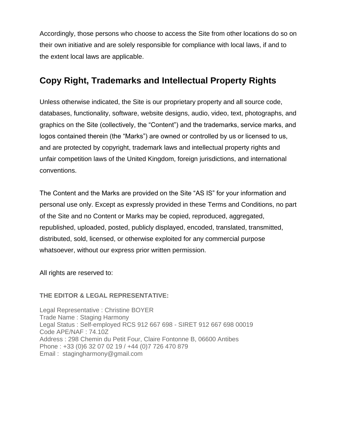Accordingly, those persons who choose to access the Site from other locations do so on their own initiative and are solely responsible for compliance with local laws, if and to the extent local laws are applicable.

#### **Copy Right, Trademarks and Intellectual Property Rights**

Unless otherwise indicated, the Site is our proprietary property and all source code, databases, functionality, software, website designs, audio, video, text, photographs, and graphics on the Site (collectively, the "Content") and the trademarks, service marks, and logos contained therein (the "Marks") are owned or controlled by us or licensed to us, and are protected by copyright, trademark laws and intellectual property rights and unfair competition laws of the United Kingdom, foreign jurisdictions, and international conventions.

The Content and the Marks are provided on the Site "AS IS" for your information and personal use only. Except as expressly provided in these Terms and Conditions, no part of the Site and no Content or Marks may be copied, reproduced, aggregated, republished, uploaded, posted, publicly displayed, encoded, translated, transmitted, distributed, sold, licensed, or otherwise exploited for any commercial purpose whatsoever, without our express prior written permission.

All rights are reserved to:

#### **THE EDITOR & LEGAL REPRESENTATIVE:**

Legal Representative : Christine BOYER Trade Name : Staging Harmony Legal Status : Self-employed RCS 912 667 698 - SIRET 912 667 698 00019 Code APE/NAF : 74.10Z Address : 298 Chemin du Petit Four, Claire Fontonne B, 06600 Antibes Phone : +33 (0)6 32 07 02 19 / +44 (0)7 726 470 879 Email : stagingharmony@gmail.com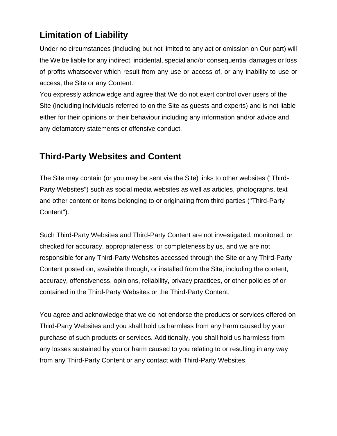# **Limitation of Liability**

Under no circumstances (including but not limited to any act or omission on Our part) will the We be liable for any indirect, incidental, special and/or consequential damages or loss of profits whatsoever which result from any use or access of, or any inability to use or access, the Site or any Content.

You expressly acknowledge and agree that We do not exert control over users of the Site (including individuals referred to on the Site as guests and experts) and is not liable either for their opinions or their behaviour including any information and/or advice and any defamatory statements or offensive conduct.

### **Third-Party Websites and Content**

The Site may contain (or you may be sent via the Site) links to other websites ("Third-Party Websites") such as social media websites as well as articles, photographs, text and other content or items belonging to or originating from third parties ("Third-Party Content").

Such Third-Party Websites and Third-Party Content are not investigated, monitored, or checked for accuracy, appropriateness, or completeness by us, and we are not responsible for any Third-Party Websites accessed through the Site or any Third-Party Content posted on, available through, or installed from the Site, including the content, accuracy, offensiveness, opinions, reliability, privacy practices, or other policies of or contained in the Third-Party Websites or the Third-Party Content.

You agree and acknowledge that we do not endorse the products or services offered on Third-Party Websites and you shall hold us harmless from any harm caused by your purchase of such products or services. Additionally, you shall hold us harmless from any losses sustained by you or harm caused to you relating to or resulting in any way from any Third-Party Content or any contact with Third-Party Websites.